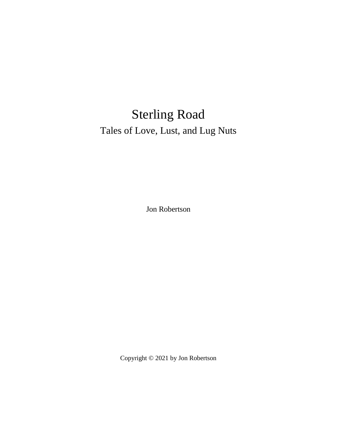## Sterling Road Tales of Love, Lust, and Lug Nuts

Jon Robertson

Copyright © 2021 by Jon Robertson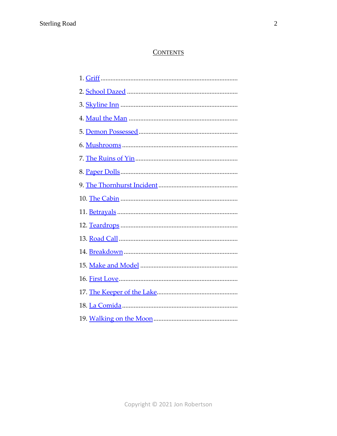## **CONTENTS**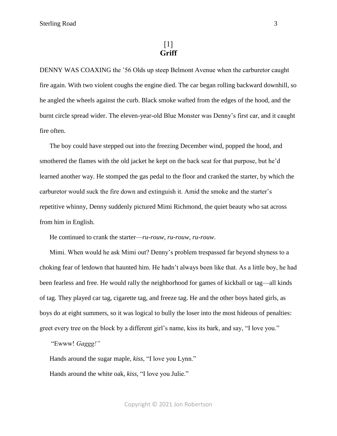<span id="page-2-0"></span>DENNY WAS COAXING the '56 Olds up steep Belmont Avenue when the carburetor caught fire again. With two violent coughs the engine died. The car began rolling backward downhill, so he angled the wheels against the curb. Black smoke wafted from the edges of the hood, and the burnt circle spread wider. The eleven-year-old Blue Monster was Denny's first car, and it caught fire often.

The boy could have stepped out into the freezing December wind, popped the hood, and smothered the flames with the old jacket he kept on the back seat for that purpose, but he'd learned another way. He stomped the gas pedal to the floor and cranked the starter, by which the carburetor would suck the fire down and extinguish it. Amid the smoke and the starter's repetitive whinny, Denny suddenly pictured Mimi Richmond, the quiet beauty who sat across from him in English.

He continued to crank the starter—*ru-rouw, ru-rouw, ru-rouw*.

Mimi. When would he ask Mimi out? Denny's problem trespassed far beyond shyness to a choking fear of letdown that haunted him. He hadn't always been like that. As a little boy, he had been fearless and free. He would rally the neighborhood for games of kickball or tag—all kinds of tag. They played car tag, cigarette tag, and freeze tag. He and the other boys hated girls, as boys do at eight summers, so it was logical to bully the loser into the most hideous of penalties: greet every tree on the block by a different girl's name, kiss its bark, and say, "I love you."

"Ewww! *Gaggg!"*

Hands around the sugar maple, *kiss,* "I love you Lynn."

Hands around the white oak, *kiss,* "I love you Julie."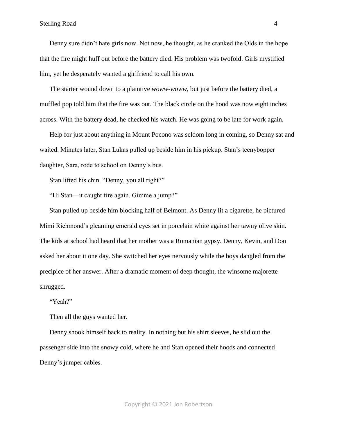## Sterling Road 4

Denny sure didn't hate girls now. Not now, he thought, as he cranked the Olds in the hope that the fire might huff out before the battery died. His problem was twofold. Girls mystified him, yet he desperately wanted a girlfriend to call his own.

The starter wound down to a plaintive *woww-woww,* but just before the battery died, a muffled pop told him that the fire was out. The black circle on the hood was now eight inches across. With the battery dead, he checked his watch. He was going to be late for work again.

Help for just about anything in Mount Pocono was seldom long in coming, so Denny sat and waited. Minutes later, Stan Lukas pulled up beside him in his pickup. Stan's teenybopper daughter, Sara, rode to school on Denny's bus.

Stan lifted his chin. "Denny, you all right?"

"Hi Stan—it caught fire again. Gimme a jump?"

Stan pulled up beside him blocking half of Belmont. As Denny lit a cigarette, he pictured Mimi Richmond's gleaming emerald eyes set in porcelain white against her tawny olive skin. The kids at school had heard that her mother was a Romanian gypsy. Denny, Kevin, and Don asked her about it one day. She switched her eyes nervously while the boys dangled from the precipice of her answer. After a dramatic moment of deep thought, the winsome majorette shrugged.

"Yeah?"

Then all the guys wanted her.

Denny shook himself back to reality. In nothing but his shirt sleeves, he slid out the passenger side into the snowy cold, where he and Stan opened their hoods and connected Denny's jumper cables.

Copyright © 2021 Jon Robertson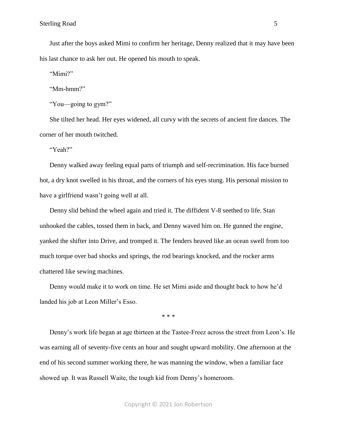Just after the boys asked Mimi to confirm her heritage, Denny realized that it may have been his last chance to ask her out. He opened his mouth to speak.

"Mimi?"

"Mm-hmm?"

"You—going to gym?"

She tilted her head. Her eyes widened, all curvy with the secrets of ancient fire dances. The corner of her mouth twitched.

"Yeah?"

Denny walked away feeling equal parts of triumph and self-recrimination. His face burned hot, a dry knot swelled in his throat, and the corners of his eyes stung. His personal mission to have a girlfriend wasn't going well at all.

Denny slid behind the wheel again and tried it. The diffident V-8 seethed to life. Stan unhooked the cables, tossed them in back, and Denny waved him on. He gunned the engine, yanked the shifter into Drive, and tromped it. The fenders heaved like an ocean swell from too much torque over bad shocks and springs, the rod bearings knocked, and the rocker arms chattered like sewing machines.

Denny would make it to work on time. He set Mimi aside and thought back to how he'd landed his job at Leon Miller's Esso.

\* \* \*

Denny's work life began at age thirteen at the Tastee-Freez across the street from Leon's. He was earning all of seventy-five cents an hour and sought upward mobility. One afternoon at the end of his second summer working there, he was manning the window, when a familiar face showed up. It was Russell Waite, the tough kid from Denny's homeroom.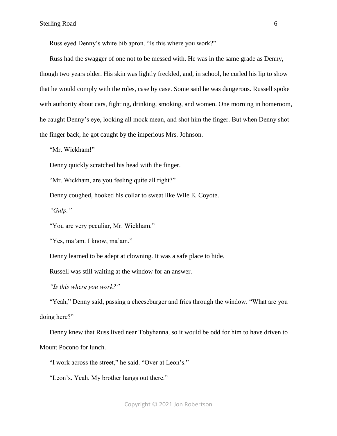Russ eyed Denny's white bib apron. "Is this where you work?"

Russ had the swagger of one not to be messed with. He was in the same grade as Denny, though two years older. His skin was lightly freckled, and, in school, he curled his lip to show that he would comply with the rules, case by case. Some said he was dangerous. Russell spoke with authority about cars, fighting, drinking, smoking, and women. One morning in homeroom, he caught Denny's eye, looking all mock mean, and shot him the finger. But when Denny shot the finger back, he got caught by the imperious Mrs. Johnson.

"Mr. Wickham!"

Denny quickly scratched his head with the finger.

"Mr. Wickham, are you feeling quite all right?"

Denny coughed, hooked his collar to sweat like Wile E. Coyote.

*"Gulp."*

"You are very peculiar, Mr. Wickham."

"Yes, ma'am. I know, ma'am."

Denny learned to be adept at clowning. It was a safe place to hide.

Russell was still waiting at the window for an answer.

*"Is this where you work?"* 

"Yeah," Denny said, passing a cheeseburger and fries through the window. "What are you doing here?"

Denny knew that Russ lived near Tobyhanna, so it would be odd for him to have driven to Mount Pocono for lunch.

"I work across the street," he said. "Over at Leon's."

"Leon's. Yeah. My brother hangs out there."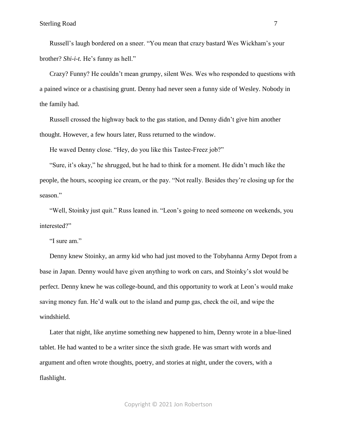Russell's laugh bordered on a sneer. "You mean that crazy bastard Wes Wickham's your brother? *Shi-i-t.* He's funny as hell."

Crazy? Funny? He couldn't mean grumpy, silent Wes. Wes who responded to questions with a pained wince or a chastising grunt. Denny had never seen a funny side of Wesley. Nobody in the family had.

Russell crossed the highway back to the gas station, and Denny didn't give him another thought. However, a few hours later, Russ returned to the window.

He waved Denny close. "Hey, do you like this Tastee-Freez job?"

"Sure, it's okay," he shrugged, but he had to think for a moment. He didn't much like the people, the hours, scooping ice cream, or the pay. "Not really. Besides they're closing up for the season."

"Well, Stoinky just quit." Russ leaned in. "Leon's going to need someone on weekends, you interested?"

"I sure am."

Denny knew Stoinky, an army kid who had just moved to the Tobyhanna Army Depot from a base in Japan. Denny would have given anything to work on cars, and Stoinky's slot would be perfect. Denny knew he was college-bound, and this opportunity to work at Leon's would make saving money fun. He'd walk out to the island and pump gas, check the oil, and wipe the windshield.

Later that night, like anytime something new happened to him, Denny wrote in a blue-lined tablet. He had wanted to be a writer since the sixth grade. He was smart with words and argument and often wrote thoughts, poetry, and stories at night, under the covers, with a flashlight.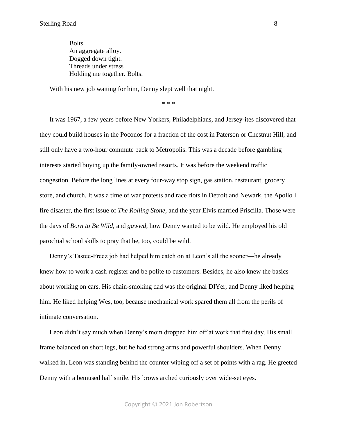Bolts. An aggregate alloy. Dogged down tight. Threads under stress Holding me together. Bolts.

With his new job waiting for him, Denny slept well that night.

\* \* \*

It was 1967, a few years before New Yorkers, Philadelphians, and Jersey-ites discovered that they could build houses in the Poconos for a fraction of the cost in Paterson or Chestnut Hill, and still only have a two-hour commute back to Metropolis. This was a decade before gambling interests started buying up the family-owned resorts. It was before the weekend traffic congestion. Before the long lines at every four-way stop sign, gas station, restaurant, grocery store, and church. It was a time of war protests and race riots in Detroit and Newark, the Apollo I fire disaster, the first issue of *The Rolling Stone,* and the year Elvis married Priscilla. Those were the days of *Born to Be Wild,* and *gawwd,* how Denny wanted to be wild. He employed his old parochial school skills to pray that he, too, could be wild.

Denny's Tastee-Freez job had helped him catch on at Leon's all the sooner—he already knew how to work a cash register and be polite to customers. Besides, he also knew the basics about working on cars. His chain-smoking dad was the original DIYer, and Denny liked helping him. He liked helping Wes, too, because mechanical work spared them all from the perils of intimate conversation.

Leon didn't say much when Denny's mom dropped him off at work that first day. His small frame balanced on short legs, but he had strong arms and powerful shoulders. When Denny walked in, Leon was standing behind the counter wiping off a set of points with a rag. He greeted Denny with a bemused half smile. His brows arched curiously over wide-set eyes.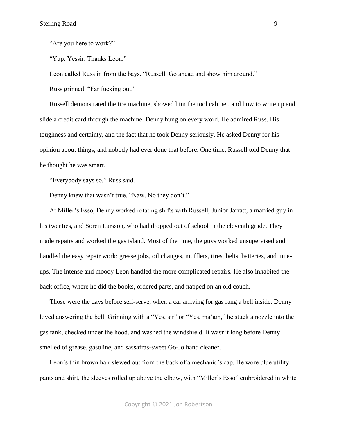"Are you here to work?"

"Yup. Yessir. Thanks Leon."

Leon called Russ in from the bays. "Russell. Go ahead and show him around."

Russ grinned. "Far fucking out."

Russell demonstrated the tire machine, showed him the tool cabinet, and how to write up and slide a credit card through the machine. Denny hung on every word. He admired Russ. His toughness and certainty, and the fact that he took Denny seriously. He asked Denny for his opinion about things, and nobody had ever done that before. One time, Russell told Denny that he thought he was smart.

"Everybody says so," Russ said.

Denny knew that wasn't true. "Naw. No they don't."

At Miller's Esso, Denny worked rotating shifts with Russell, Junior Jarratt, a married guy in his twenties, and Soren Larsson, who had dropped out of school in the eleventh grade. They made repairs and worked the gas island. Most of the time, the guys worked unsupervised and handled the easy repair work: grease jobs, oil changes, mufflers, tires, belts, batteries, and tuneups. The intense and moody Leon handled the more complicated repairs. He also inhabited the back office, where he did the books, ordered parts, and napped on an old couch.

Those were the days before self-serve, when a car arriving for gas rang a bell inside. Denny loved answering the bell. Grinning with a "Yes, sir" or "Yes, ma'am," he stuck a nozzle into the gas tank, checked under the hood, and washed the windshield. It wasn't long before Denny smelled of grease, gasoline, and sassafras-sweet Go-Jo hand cleaner.

Leon's thin brown hair slewed out from the back of a mechanic's cap. He wore blue utility pants and shirt, the sleeves rolled up above the elbow, with "Miller's Esso" embroidered in white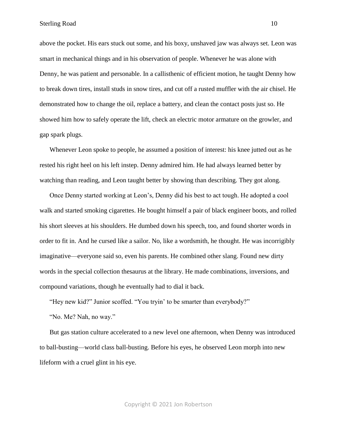above the pocket. His ears stuck out some, and his boxy, unshaved jaw was always set. Leon was smart in mechanical things and in his observation of people. Whenever he was alone with Denny, he was patient and personable. In a callisthenic of efficient motion, he taught Denny how to break down tires, install studs in snow tires, and cut off a rusted muffler with the air chisel. He demonstrated how to change the oil, replace a battery, and clean the contact posts just so. He showed him how to safely operate the lift, check an electric motor armature on the growler, and gap spark plugs.

Whenever Leon spoke to people, he assumed a position of interest: his knee jutted out as he rested his right heel on his left instep. Denny admired him. He had always learned better by watching than reading, and Leon taught better by showing than describing. They got along.

Once Denny started working at Leon's, Denny did his best to act tough. He adopted a cool walk and started smoking cigarettes. He bought himself a pair of black engineer boots, and rolled his short sleeves at his shoulders. He dumbed down his speech, too, and found shorter words in order to fit in. And he cursed like a sailor. No, like a wordsmith, he thought. He was incorrigibly imaginative—everyone said so, even his parents. He combined other slang. Found new dirty words in the special collection thesaurus at the library. He made combinations, inversions, and compound variations, though he eventually had to dial it back.

"Hey new kid?" Junior scoffed. "You tryin' to be smarter than everybody?"

"No. Me? Nah, no way."

But gas station culture accelerated to a new level one afternoon, when Denny was introduced to ball-busting—world class ball-busting. Before his eyes, he observed Leon morph into new lifeform with a cruel glint in his eye.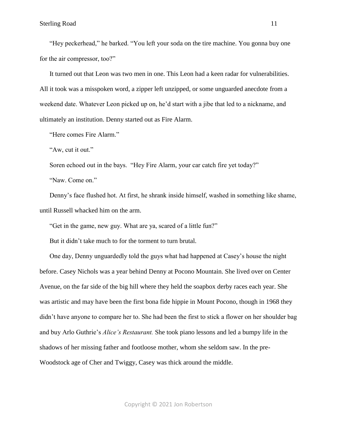"Hey peckerhead," he barked. "You left your soda on the tire machine. You gonna buy one for the air compressor, too?"

It turned out that Leon was two men in one. This Leon had a keen radar for vulnerabilities. All it took was a misspoken word, a zipper left unzipped, or some unguarded anecdote from a weekend date. Whatever Leon picked up on, he'd start with a jibe that led to a nickname, and ultimately an institution. Denny started out as Fire Alarm.

"Here comes Fire Alarm."

"Aw, cut it out."

Soren echoed out in the bays. "Hey Fire Alarm, your car catch fire yet today?"

"Naw. Come on."

Denny's face flushed hot. At first, he shrank inside himself, washed in something like shame, until Russell whacked him on the arm.

"Get in the game, new guy. What are ya, scared of a little fun?"

But it didn't take much to for the torment to turn brutal.

One day, Denny unguardedly told the guys what had happened at Casey's house the night before. Casey Nichols was a year behind Denny at Pocono Mountain. She lived over on Center Avenue, on the far side of the big hill where they held the soapbox derby races each year. She was artistic and may have been the first bona fide hippie in Mount Pocono, though in 1968 they didn't have anyone to compare her to. She had been the first to stick a flower on her shoulder bag and buy Arlo Guthrie's *Alice's Restaurant.* She took piano lessons and led a bumpy life in the shadows of her missing father and footloose mother, whom she seldom saw. In the pre-Woodstock age of Cher and Twiggy, Casey was thick around the middle.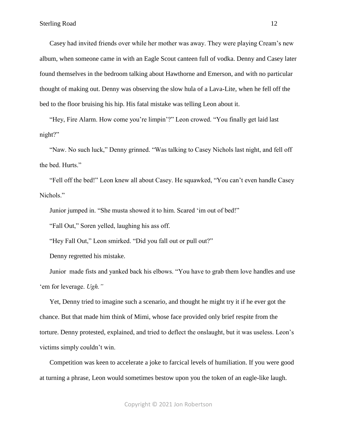Casey had invited friends over while her mother was away. They were playing Cream's new album, when someone came in with an Eagle Scout canteen full of vodka. Denny and Casey later found themselves in the bedroom talking about Hawthorne and Emerson, and with no particular thought of making out. Denny was observing the slow hula of a Lava-Lite, when he fell off the bed to the floor bruising his hip. His fatal mistake was telling Leon about it.

"Hey, Fire Alarm. How come you're limpin'?" Leon crowed. "You finally get laid last night?"

"Naw. No such luck," Denny grinned. "Was talking to Casey Nichols last night, and fell off the bed. Hurts."

"Fell off the bed!" Leon knew all about Casey. He squawked, "You can't even handle Casey Nichols."

Junior jumped in. "She musta showed it to him. Scared 'im out of bed!"

"Fall Out," Soren yelled, laughing his ass off.

"Hey Fall Out," Leon smirked. "Did you fall out or pull out?"

Denny regretted his mistake.

Junior made fists and yanked back his elbows. "You have to grab them love handles and use 'em for leverage. *Ugh."*

Yet, Denny tried to imagine such a scenario, and thought he might try it if he ever got the chance. But that made him think of Mimi, whose face provided only brief respite from the torture. Denny protested, explained, and tried to deflect the onslaught, but it was useless. Leon's victims simply couldn't win.

Competition was keen to accelerate a joke to farcical levels of humiliation. If you were good at turning a phrase, Leon would sometimes bestow upon you the token of an eagle-like laugh.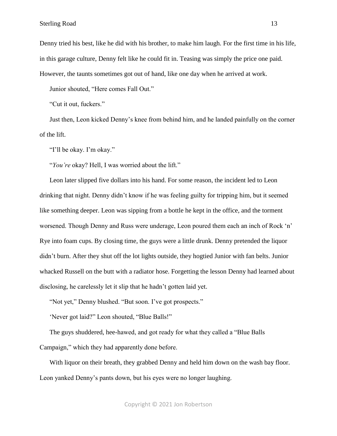Denny tried his best, like he did with his brother, to make him laugh. For the first time in his life, in this garage culture, Denny felt like he could fit in. Teasing was simply the price one paid. However, the taunts sometimes got out of hand, like one day when he arrived at work.

Junior shouted, "Here comes Fall Out."

"Cut it out, fuckers."

Just then, Leon kicked Denny's knee from behind him, and he landed painfully on the corner of the lift.

"I'll be okay. I'm okay."

"*You're* okay? Hell, I was worried about the lift."

Leon later slipped five dollars into his hand. For some reason, the incident led to Leon drinking that night. Denny didn't know if he was feeling guilty for tripping him, but it seemed like something deeper. Leon was sipping from a bottle he kept in the office, and the torment worsened. Though Denny and Russ were underage, Leon poured them each an inch of Rock 'n' Rye into foam cups. By closing time, the guys were a little drunk. Denny pretended the liquor didn't burn. After they shut off the lot lights outside, they hogtied Junior with fan belts. Junior whacked Russell on the butt with a radiator hose. Forgetting the lesson Denny had learned about disclosing, he carelessly let it slip that he hadn't gotten laid yet.

"Not yet," Denny blushed. "But soon. I've got prospects."

'Never got laid?" Leon shouted, "Blue Balls!"

The guys shuddered, hee-hawed, and got ready for what they called a "Blue Balls Campaign," which they had apparently done before.

With liquor on their breath, they grabbed Denny and held him down on the wash bay floor. Leon yanked Denny's pants down, but his eyes were no longer laughing.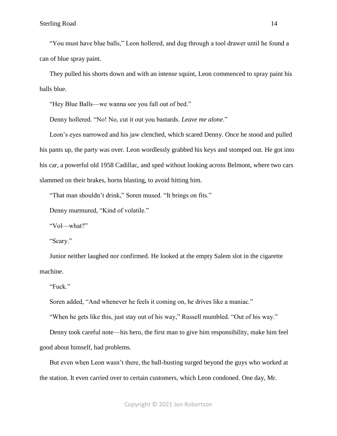"You must have blue balls," Leon hollered, and dug through a tool drawer until he found a can of blue spray paint.

They pulled his shorts down and with an intense squint, Leon commenced to spray paint his balls blue.

"Hey Blue Balls—we wanna see you fall out of bed."

Denny hollered. "No! No, cut it out you bastards. *Leave me alone*."

Leon's eyes narrowed and his jaw clenched, which scared Denny. Once he stood and pulled his pants up, the party was over. Leon wordlessly grabbed his keys and stomped out. He got into his car, a powerful old 1958 Cadillac, and sped without looking across Belmont, where two cars slammed on their brakes, horns blasting, to avoid hitting him.

"That man shouldn't drink," Soren mused. "It brings on fits."

Denny murmured, "Kind of volatile."

"Vol—what?"

"Scary."

Junior neither laughed nor confirmed. He looked at the empty Salem slot in the cigarette machine.

"Fuck."

Soren added, "And whenever he feels it coming on, he drives like a maniac."

"When he gets like this, just stay out of his way," Russell mumbled. "Out of his way."

Denny took careful note—his hero, the first man to give him responsibility, make him feel good about himself, had problems.

But even when Leon wasn't there, the ball-busting surged beyond the guys who worked at the station. It even carried over to certain customers, which Leon condoned. One day, Mr.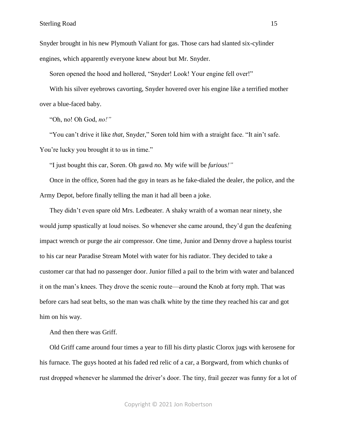Snyder brought in his new Plymouth Valiant for gas. Those cars had slanted six-cylinder engines, which apparently everyone knew about but Mr. Snyder.

Soren opened the hood and hollered, "Snyder! Look! Your engine fell over!"

With his silver eyebrows cavorting, Snyder hovered over his engine like a terrified mother over a blue-faced baby.

"Oh, no! Oh God, *no!"*

"You can't drive it like *that,* Snyder," Soren told him with a straight face. "It ain't safe. You're lucky you brought it to us in time."

"I just bought this car, Soren. Oh gawd *no.* My wife will be *furious!"*

Once in the office, Soren had the guy in tears as he fake-dialed the dealer, the police, and the Army Depot, before finally telling the man it had all been a joke.

They didn't even spare old Mrs. Ledbeater. A shaky wraith of a woman near ninety, she would jump spastically at loud noises. So whenever she came around, they'd gun the deafening impact wrench or purge the air compressor. One time, Junior and Denny drove a hapless tourist to his car near Paradise Stream Motel with water for his radiator. They decided to take a customer car that had no passenger door. Junior filled a pail to the brim with water and balanced it on the man's knees. They drove the scenic route—around the Knob at forty mph. That was before cars had seat belts, so the man was chalk white by the time they reached his car and got him on his way.

And then there was Griff.

Old Griff came around four times a year to fill his dirty plastic Clorox jugs with kerosene for his furnace. The guys hooted at his faded red relic of a car, a Borgward, from which chunks of rust dropped whenever he slammed the driver's door. The tiny, frail geezer was funny for a lot of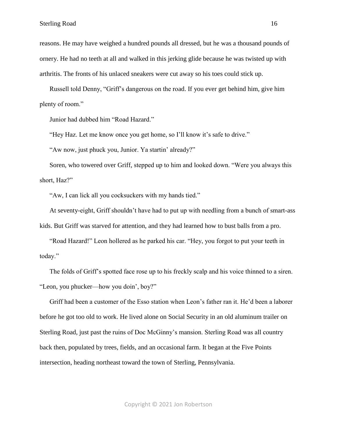reasons. He may have weighed a hundred pounds all dressed, but he was a thousand pounds of ornery. He had no teeth at all and walked in this jerking glide because he was twisted up with arthritis. The fronts of his unlaced sneakers were cut away so his toes could stick up.

Russell told Denny, "Griff's dangerous on the road. If you ever get behind him, give him plenty of room."

Junior had dubbed him "Road Hazard."

"Hey Haz. Let me know once you get home, so I'll know it's safe to drive."

"Aw now, just phuck you, Junior. Ya startin' already?"

Soren, who towered over Griff, stepped up to him and looked down. "Were you always this short, Haz?"

"Aw, I can lick all you cocksuckers with my hands tied."

At seventy-eight, Griff shouldn't have had to put up with needling from a bunch of smart-ass kids. But Griff was starved for attention, and they had learned how to bust balls from a pro.

"Road Hazard!" Leon hollered as he parked his car. "Hey, you forgot to put your teeth in today."

The folds of Griff's spotted face rose up to his freckly scalp and his voice thinned to a siren. "Leon, you phucker—how you doin', boy?"

Griff had been a customer of the Esso station when Leon's father ran it. He'd been a laborer before he got too old to work. He lived alone on Social Security in an old aluminum trailer on Sterling Road, just past the ruins of Doc McGinny's mansion. Sterling Road was all country back then, populated by trees, fields, and an occasional farm. It began at the Five Points intersection, heading northeast toward the town of Sterling, Pennsylvania.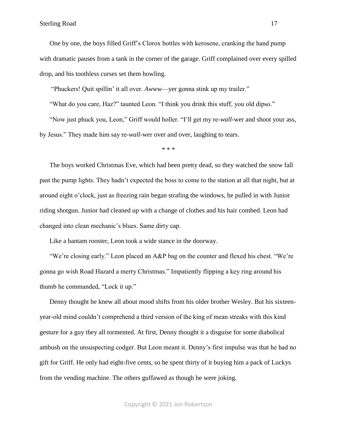One by one, the boys filled Griff's Clorox bottles with kerosene, cranking the hand pump with dramatic pauses from a tank in the corner of the garage. Griff complained over every spilled drop, and his toothless curses set them howling.

"Phuckers! Quit spillin' it all over. *Awww*—yer gonna stink up my trailer."

"What do you care, Haz?" taunted Leon. "I think you drink this stuff, you old dipso."

"Now just phuck you, Leon," Griff would holler. "I'll get my re-*wall*-wer and shoot your ass, by Jesus." They made him say re-*wall*-wer over and over, laughing to tears.

\* \* \*

The boys worked Christmas Eve, which had been pretty dead, so they watched the snow fall past the pump lights. They hadn't expected the boss to come to the station at all that night, but at around eight o'clock, just as freezing rain began strafing the windows, he pulled in with Junior riding shotgun. Junior had cleaned up with a change of clothes and his hair combed. Leon had changed into clean mechanic's blues. Same dirty cap.

Like a bantam rooster, Leon took a wide stance in the doorway.

"We're closing early." Leon placed an A&P bag on the counter and flexed his chest. "We're gonna go wish Road Hazard a merry Christmas." Impatiently flipping a key ring around his thumb he commanded, "Lock it up."

Denny thought he knew all about mood shifts from his older brother Wesley. But his sixteenyear-old mind couldn't comprehend a third version of the king of mean streaks with this kind gesture for a guy they all tormented. At first, Denny thought it a disguise for some diabolical ambush on the unsuspecting codger. But Leon meant it. Denny's first impulse was that he had no gift for Griff. He only had eight-five cents, so he spent thirty of it buying him a pack of Luckys from the vending machine. The others guffawed as though he were joking.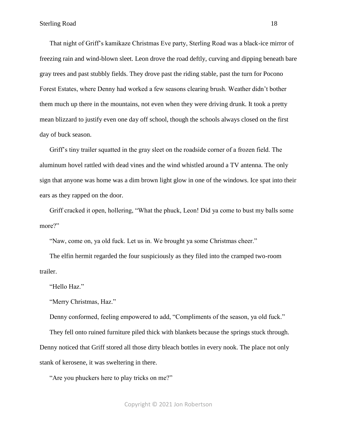That night of Griff's kamikaze Christmas Eve party, Sterling Road was a black-ice mirror of freezing rain and wind-blown sleet. Leon drove the road deftly, curving and dipping beneath bare gray trees and past stubbly fields. They drove past the riding stable, past the turn for Pocono Forest Estates, where Denny had worked a few seasons clearing brush. Weather didn't bother them much up there in the mountains, not even when they were driving drunk. It took a pretty mean blizzard to justify even one day off school, though the schools always closed on the first day of buck season.

Griff's tiny trailer squatted in the gray sleet on the roadside corner of a frozen field. The aluminum hovel rattled with dead vines and the wind whistled around a TV antenna. The only sign that anyone was home was a dim brown light glow in one of the windows. Ice spat into their ears as they rapped on the door.

Griff cracked it open, hollering, "What the phuck, Leon! Did ya come to bust my balls some more?"

"Naw, come on, ya old fuck. Let us in. We brought ya some Christmas cheer."

The elfin hermit regarded the four suspiciously as they filed into the cramped two-room trailer.

"Hello Haz."

"Merry Christmas, Haz."

Denny conformed, feeling empowered to add, "Compliments of the season, ya old fuck."

They fell onto ruined furniture piled thick with blankets because the springs stuck through. Denny noticed that Griff stored all those dirty bleach bottles in every nook. The place not only stank of kerosene, it was sweltering in there.

"Are you phuckers here to play tricks on me?"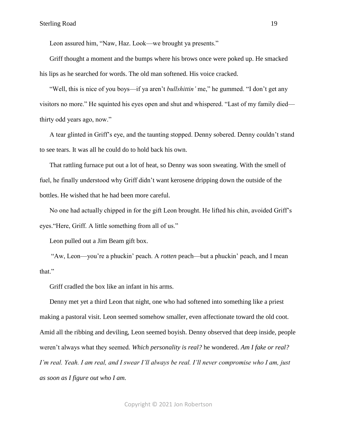Leon assured him, "Naw, Haz. Look—we brought ya presents."

Griff thought a moment and the bumps where his brows once were poked up. He smacked his lips as he searched for words. The old man softened. His voice cracked.

"Well, this is nice of you boys—if ya aren't *bullshittin'* me," he gummed. "I don't get any visitors no more." He squinted his eyes open and shut and whispered. "Last of my family died thirty odd years ago, now."

A tear glinted in Griff's eye, and the taunting stopped. Denny sobered. Denny couldn't stand to see tears. It was all he could do to hold back his own.

That rattling furnace put out a lot of heat, so Denny was soon sweating. With the smell of fuel, he finally understood why Griff didn't want kerosene dripping down the outside of the bottles. He wished that he had been more careful.

No one had actually chipped in for the gift Leon brought. He lifted his chin, avoided Griff's eyes."Here, Griff. A little something from all of us."

Leon pulled out a Jim Beam gift box.

"Aw, Leon—you're a phuckin' peach. A *rotten* peach—but a phuckin' peach, and I mean that."

Griff cradled the box like an infant in his arms.

Denny met yet a third Leon that night, one who had softened into something like a priest making a pastoral visit. Leon seemed somehow smaller, even affectionate toward the old coot. Amid all the ribbing and deviling, Leon seemed boyish. Denny observed that deep inside, people weren't always what they seemed. *Which personality is real?* he wondered. *Am I fake or real? I'm real. Yeah. I am real, and I swear I'll always be real. I'll never compromise who I am, just as soon as I figure out who I am.*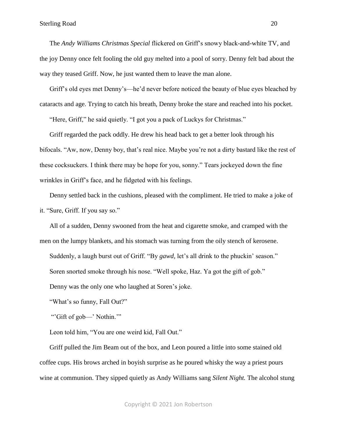The *Andy Williams Christmas Special* flickered on Griff's snowy black-and-white TV, and the joy Denny once felt fooling the old guy melted into a pool of sorry. Denny felt bad about the way they teased Griff. Now, he just wanted them to leave the man alone.

Griff's old eyes met Denny's—he'd never before noticed the beauty of blue eyes bleached by cataracts and age. Trying to catch his breath, Denny broke the stare and reached into his pocket.

"Here, Griff," he said quietly. "I got you a pack of Luckys for Christmas."

Griff regarded the pack oddly. He drew his head back to get a better look through his bifocals. "Aw, now, Denny boy, that's real nice. Maybe you're not a dirty bastard like the rest of these cocksuckers. I think there may be hope for you, sonny." Tears jockeyed down the fine wrinkles in Griff's face, and he fidgeted with his feelings.

Denny settled back in the cushions, pleased with the compliment. He tried to make a joke of it. "Sure, Griff. If you say so."

All of a sudden, Denny swooned from the heat and cigarette smoke, and cramped with the men on the lumpy blankets, and his stomach was turning from the oily stench of kerosene. Suddenly, a laugh burst out of Griff. "By *gawd,* let's all drink to the phuckin' season."

Soren snorted smoke through his nose. "Well spoke, Haz. Ya got the gift of gob."

Denny was the only one who laughed at Soren's joke.

"What's so funny, Fall Out?"

"'Gift of gob—' Nothin.'"

Leon told him, "You are one weird kid, Fall Out."

Griff pulled the Jim Beam out of the box, and Leon poured a little into some stained old coffee cups. His brows arched in boyish surprise as he poured whisky the way a priest pours wine at communion. They sipped quietly as Andy Williams sang *Silent Night.* The alcohol stung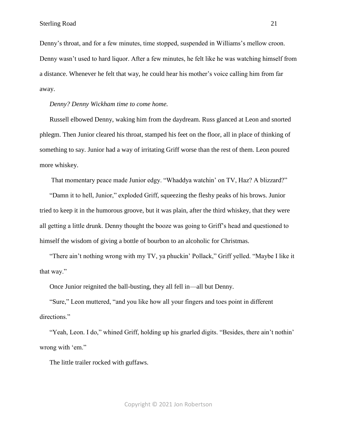Denny's throat, and for a few minutes, time stopped, suspended in Williams's mellow croon. Denny wasn't used to hard liquor. After a few minutes, he felt like he was watching himself from a distance. Whenever he felt that way, he could hear his mother's voice calling him from far away.

*Denny? Denny Wickham time to come home.*

Russell elbowed Denny, waking him from the daydream. Russ glanced at Leon and snorted phlegm. Then Junior cleared his throat, stamped his feet on the floor, all in place of thinking of something to say. Junior had a way of irritating Griff worse than the rest of them. Leon poured more whiskey.

That momentary peace made Junior edgy. "Whaddya watchin' on TV, Haz? A blizzard?"

"Damn it to hell, Junior," exploded Griff, squeezing the fleshy peaks of his brows. Junior tried to keep it in the humorous groove, but it was plain, after the third whiskey, that they were all getting a little drunk. Denny thought the booze was going to Griff's head and questioned to himself the wisdom of giving a bottle of bourbon to an alcoholic for Christmas.

"There ain't nothing wrong with my TV, ya phuckin' Pollack," Griff yelled. "Maybe I like it that way."

Once Junior reignited the ball-busting, they all fell in—all but Denny.

"Sure," Leon muttered, "and you like how all your fingers and toes point in different directions."

"Yeah, Leon. I do," whined Griff, holding up his gnarled digits. "Besides, there ain't nothin' wrong with 'em."

The little trailer rocked with guffaws.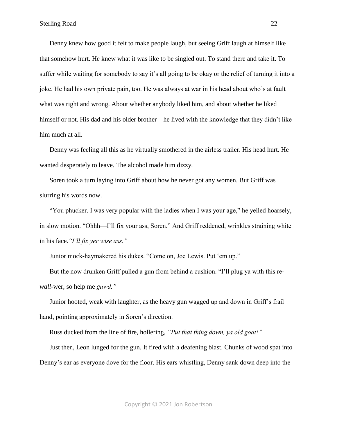Denny knew how good it felt to make people laugh, but seeing Griff laugh at himself like that somehow hurt. He knew what it was like to be singled out. To stand there and take it. To suffer while waiting for somebody to say it's all going to be okay or the relief of turning it into a joke. He had his own private pain, too. He was always at war in his head about who's at fault what was right and wrong. About whether anybody liked him, and about whether he liked himself or not. His dad and his older brother—he lived with the knowledge that they didn't like him much at all.

Denny was feeling all this as he virtually smothered in the airless trailer. His head hurt. He wanted desperately to leave. The alcohol made him dizzy.

Soren took a turn laying into Griff about how he never got any women. But Griff was slurring his words now.

"You phucker. I was very popular with the ladies when I was your age," he yelled hoarsely, in slow motion. "Ohhh—I'll fix your ass, Soren." And Griff reddened, wrinkles straining white in his face.*"I'll fix yer wise ass."*

Junior mock-haymakered his dukes. "Come on, Joe Lewis. Put 'em up."

But the now drunken Griff pulled a gun from behind a cushion. "I'll plug ya with this re*wall*-wer, so help me *gawd."*

Junior hooted, weak with laughter, as the heavy gun wagged up and down in Griff's frail hand, pointing approximately in Soren's direction.

Russ ducked from the line of fire, hollering, *"Put that thing down, ya old goat!"*

Just then, Leon lunged for the gun. It fired with a deafening blast. Chunks of wood spat into Denny's ear as everyone dove for the floor. His ears whistling, Denny sank down deep into the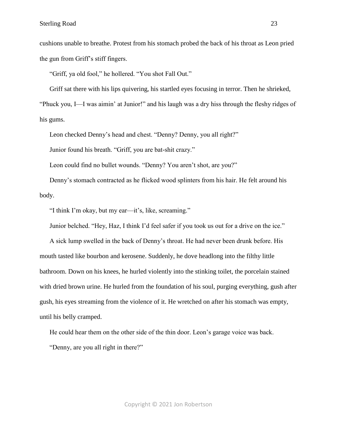cushions unable to breathe. Protest from his stomach probed the back of his throat as Leon pried the gun from Griff's stiff fingers.

"Griff, ya old fool," he hollered. "You shot Fall Out."

Griff sat there with his lips quivering, his startled eyes focusing in terror. Then he shrieked,

"Phuck you, I—I was aimin' at Junior!" and his laugh was a dry hiss through the fleshy ridges of his gums.

Leon checked Denny's head and chest. "Denny? Denny, you all right?"

Junior found his breath. "Griff, you are bat-shit crazy."

Leon could find no bullet wounds. "Denny? You aren't shot, are you?"

Denny's stomach contracted as he flicked wood splinters from his hair. He felt around his body.

"I think I'm okay, but my ear—it's, like, screaming."

Junior belched. "Hey, Haz, I think I'd feel safer if you took us out for a drive on the ice."

A sick lump swelled in the back of Denny's throat. He had never been drunk before. His mouth tasted like bourbon and kerosene. Suddenly, he dove headlong into the filthy little bathroom. Down on his knees, he hurled violently into the stinking toilet, the porcelain stained with dried brown urine. He hurled from the foundation of his soul, purging everything, gush after gush, his eyes streaming from the violence of it. He wretched on after his stomach was empty, until his belly cramped.

He could hear them on the other side of the thin door. Leon's garage voice was back. "Denny, are you all right in there?"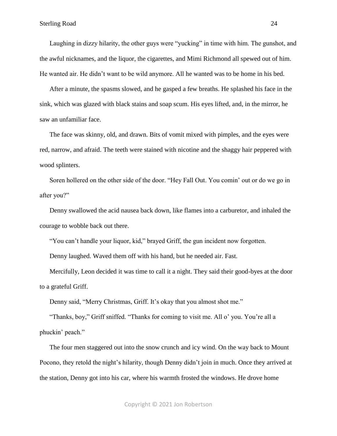Laughing in dizzy hilarity, the other guys were "yucking" in time with him. The gunshot, and the awful nicknames, and the liquor, the cigarettes, and Mimi Richmond all spewed out of him. He wanted air. He didn't want to be wild anymore. All he wanted was to be home in his bed.

After a minute, the spasms slowed, and he gasped a few breaths. He splashed his face in the sink, which was glazed with black stains and soap scum. His eyes lifted, and, in the mirror, he saw an unfamiliar face.

The face was skinny, old, and drawn. Bits of vomit mixed with pimples, and the eyes were red, narrow, and afraid. The teeth were stained with nicotine and the shaggy hair peppered with wood splinters.

Soren hollered on the other side of the door. "Hey Fall Out. You comin' out or do we go in after you?"

Denny swallowed the acid nausea back down, like flames into a carburetor, and inhaled the courage to wobble back out there.

"You can't handle your liquor, kid," brayed Griff, the gun incident now forgotten.

Denny laughed. Waved them off with his hand, but he needed air. Fast.

Mercifully, Leon decided it was time to call it a night. They said their good-byes at the door to a grateful Griff.

Denny said, "Merry Christmas, Griff. It's okay that you almost shot me."

"Thanks, boy," Griff sniffed. "Thanks for coming to visit me. All o' you. You're all a phuckin' peach."

The four men staggered out into the snow crunch and icy wind. On the way back to Mount Pocono, they retold the night's hilarity, though Denny didn't join in much. Once they arrived at the station, Denny got into his car, where his warmth frosted the windows. He drove home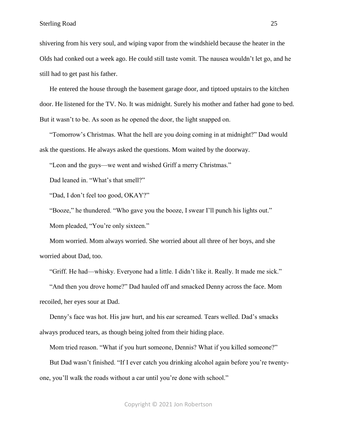shivering from his very soul, and wiping vapor from the windshield because the heater in the Olds had conked out a week ago. He could still taste vomit. The nausea wouldn't let go, and he still had to get past his father.

He entered the house through the basement garage door, and tiptoed upstairs to the kitchen door. He listened for the TV. No. It was midnight. Surely his mother and father had gone to bed. But it wasn't to be. As soon as he opened the door, the light snapped on.

"Tomorrow's Christmas. What the hell are you doing coming in at midnight?" Dad would ask the questions. He always asked the questions. Mom waited by the doorway.

"Leon and the guys—we went and wished Griff a merry Christmas."

Dad leaned in. "What's that smell?"

"Dad, I don't feel too good, OKAY?"

"Booze," he thundered. "Who gave you the booze, I swear I'll punch his lights out."

Mom pleaded, "You're only sixteen."

Mom worried. Mom always worried. She worried about all three of her boys, and she worried about Dad, too.

"Griff. He had—whisky. Everyone had a little. I didn't like it. Really. It made me sick."

"And then you drove home?" Dad hauled off and smacked Denny across the face. Mom recoiled, her eyes sour at Dad.

Denny's face was hot. His jaw hurt, and his ear screamed. Tears welled. Dad's smacks always produced tears, as though being jolted from their hiding place.

Mom tried reason. "What if you hurt someone, Dennis? What if you killed someone?"

But Dad wasn't finished. "If I ever catch you drinking alcohol again before you're twentyone, you'll walk the roads without a car until you're done with school."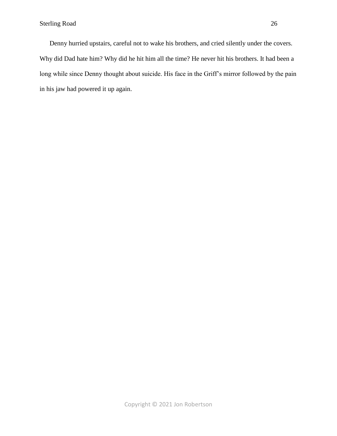Denny hurried upstairs, careful not to wake his brothers, and cried silently under the covers. Why did Dad hate him? Why did he hit him all the time? He never hit his brothers. It had been a long while since Denny thought about suicide. His face in the Griff's mirror followed by the pain in his jaw had powered it up again.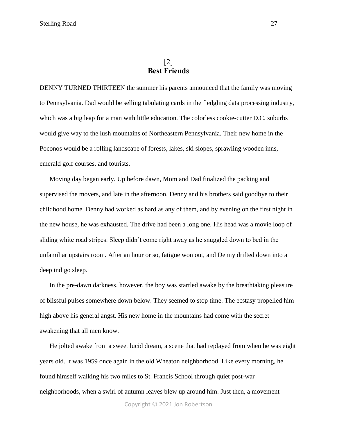## [2] **Best Friends**

<span id="page-26-0"></span>DENNY TURNED THIRTEEN the summer his parents announced that the family was moving to Pennsylvania. Dad would be selling tabulating cards in the fledgling data processing industry, which was a big leap for a man with little education. The colorless cookie-cutter D.C. suburbs would give way to the lush mountains of Northeastern Pennsylvania. Their new home in the Poconos would be a rolling landscape of forests, lakes, ski slopes, sprawling wooden inns, emerald golf courses, and tourists.

Moving day began early. Up before dawn, Mom and Dad finalized the packing and supervised the movers, and late in the afternoon, Denny and his brothers said goodbye to their childhood home. Denny had worked as hard as any of them, and by evening on the first night in the new house, he was exhausted. The drive had been a long one. His head was a movie loop of sliding white road stripes. Sleep didn't come right away as he snuggled down to bed in the unfamiliar upstairs room. After an hour or so, fatigue won out, and Denny drifted down into a deep indigo sleep.

In the pre-dawn darkness, however, the boy was startled awake by the breathtaking pleasure of blissful pulses somewhere down below. They seemed to stop time. The ecstasy propelled him high above his general angst. His new home in the mountains had come with the secret awakening that all men know.

He jolted awake from a sweet lucid dream, a scene that had replayed from when he was eight years old. It was 1959 once again in the old Wheaton neighborhood. Like every morning, he found himself walking his two miles to St. Francis School through quiet post-war neighborhoods, when a swirl of autumn leaves blew up around him. Just then, a movement

Copyright © 2021 Jon Robertson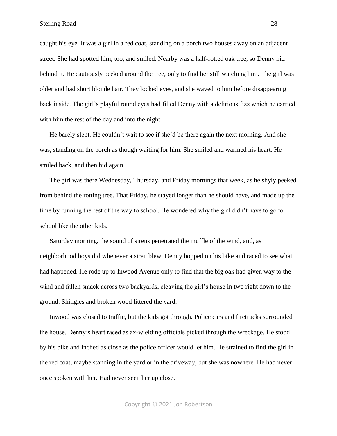caught his eye. It was a girl in a red coat, standing on a porch two houses away on an adjacent street. She had spotted him, too, and smiled. Nearby was a half-rotted oak tree, so Denny hid behind it. He cautiously peeked around the tree, only to find her still watching him. The girl was older and had short blonde hair. They locked eyes, and she waved to him before disappearing back inside. The girl's playful round eyes had filled Denny with a delirious fizz which he carried with him the rest of the day and into the night.

He barely slept. He couldn't wait to see if she'd be there again the next morning. And she was, standing on the porch as though waiting for him. She smiled and warmed his heart. He smiled back, and then hid again.

The girl was there Wednesday, Thursday, and Friday mornings that week, as he shyly peeked from behind the rotting tree. That Friday, he stayed longer than he should have, and made up the time by running the rest of the way to school. He wondered why the girl didn't have to go to school like the other kids.

Saturday morning, the sound of sirens penetrated the muffle of the wind, and, as neighborhood boys did whenever a siren blew, Denny hopped on his bike and raced to see what had happened. He rode up to Inwood Avenue only to find that the big oak had given way to the wind and fallen smack across two backyards, cleaving the girl's house in two right down to the ground. Shingles and broken wood littered the yard.

Inwood was closed to traffic, but the kids got through. Police cars and firetrucks surrounded the house. Denny's heart raced as ax-wielding officials picked through the wreckage. He stood by his bike and inched as close as the police officer would let him. He strained to find the girl in the red coat, maybe standing in the yard or in the driveway, but she was nowhere. He had never once spoken with her. Had never seen her up close.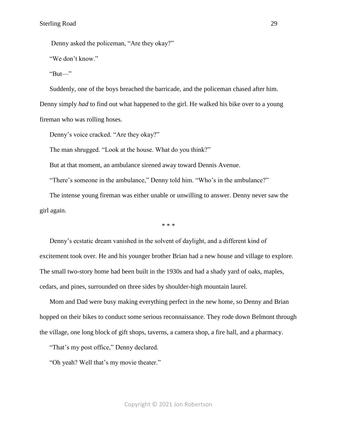Denny asked the policeman, "Are they okay?"

"We don't know."

" $But$ —"

Suddenly, one of the boys breached the barricade, and the policeman chased after him. Denny simply *had* to find out what happened to the girl. He walked his bike over to a young fireman who was rolling hoses.

Denny's voice cracked. "Are they okay?"

The man shrugged. "Look at the house. What do you think?"

But at that moment, an ambulance sirened away toward Dennis Avenue.

"There's someone in the ambulance," Denny told him. "Who's in the ambulance?"

The intense young fireman was either unable or unwilling to answer. Denny never saw the girl again.

\* \* \*

Denny's ecstatic dream vanished in the solvent of daylight, and a different kind of excitement took over. He and his younger brother Brian had a new house and village to explore. The small two-story home had been built in the 1930s and had a shady yard of oaks, maples, cedars, and pines, surrounded on three sides by shoulder-high mountain laurel.

Mom and Dad were busy making everything perfect in the new home, so Denny and Brian hopped on their bikes to conduct some serious reconnaissance. They rode down Belmont through the village, one long block of gift shops, taverns, a camera shop, a fire hall, and a pharmacy.

"That's my post office," Denny declared.

"Oh yeah? Well that's my movie theater."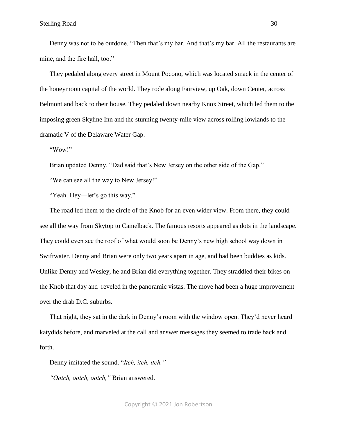Denny was not to be outdone. "Then that's my bar. And that's my bar. All the restaurants are mine, and the fire hall, too."

They pedaled along every street in Mount Pocono, which was located smack in the center of the honeymoon capital of the world. They rode along Fairview, up Oak, down Center, across Belmont and back to their house. They pedaled down nearby Knox Street, which led them to the imposing green Skyline Inn and the stunning twenty-mile view across rolling lowlands to the dramatic V of the Delaware Water Gap.

"Wow!"

Brian updated Denny. "Dad said that's New Jersey on the other side of the Gap."

"We can see all the way to New Jersey!"

"Yeah. Hey—let's go this way."

The road led them to the circle of the Knob for an even wider view. From there, they could see all the way from Skytop to Camelback. The famous resorts appeared as dots in the landscape. They could even see the roof of what would soon be Denny's new high school way down in Swiftwater. Denny and Brian were only two years apart in age, and had been buddies as kids. Unlike Denny and Wesley, he and Brian did everything together. They straddled their bikes on the Knob that day and reveled in the panoramic vistas. The move had been a huge improvement over the drab D.C. suburbs.

That night, they sat in the dark in Denny's room with the window open. They'd never heard katydids before, and marveled at the call and answer messages they seemed to trade back and forth.

Denny imitated the sound. "*Itch, itch, itch."*

*"Ootch, ootch, ootch,"* Brian answered.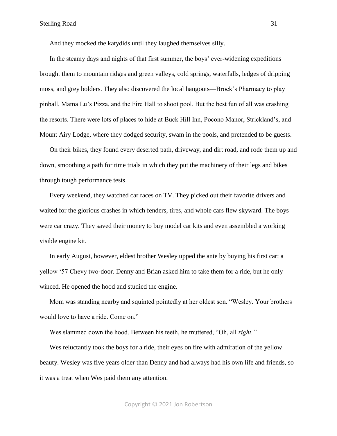And they mocked the katydids until they laughed themselves silly.

In the steamy days and nights of that first summer, the boys' ever-widening expeditions brought them to mountain ridges and green valleys, cold springs, waterfalls, ledges of dripping moss, and grey bolders. They also discovered the local hangouts—Brock's Pharmacy to play pinball, Mama Lu's Pizza, and the Fire Hall to shoot pool. But the best fun of all was crashing the resorts. There were lots of places to hide at Buck Hill Inn, Pocono Manor, Strickland's, and Mount Airy Lodge, where they dodged security, swam in the pools, and pretended to be guests.

On their bikes, they found every deserted path, driveway, and dirt road, and rode them up and down, smoothing a path for time trials in which they put the machinery of their legs and bikes through tough performance tests.

Every weekend, they watched car races on TV. They picked out their favorite drivers and waited for the glorious crashes in which fenders, tires, and whole cars flew skyward. The boys were car crazy. They saved their money to buy model car kits and even assembled a working visible engine kit.

In early August, however, eldest brother Wesley upped the ante by buying his first car: a yellow '57 Chevy two-door. Denny and Brian asked him to take them for a ride, but he only winced. He opened the hood and studied the engine.

Mom was standing nearby and squinted pointedly at her oldest son. "Wesley. Your brothers would love to have a ride. Come on."

Wes slammed down the hood. Between his teeth, he muttered, "Oh, all *right."*

Wes reluctantly took the boys for a ride, their eyes on fire with admiration of the yellow beauty. Wesley was five years older than Denny and had always had his own life and friends, so it was a treat when Wes paid them any attention.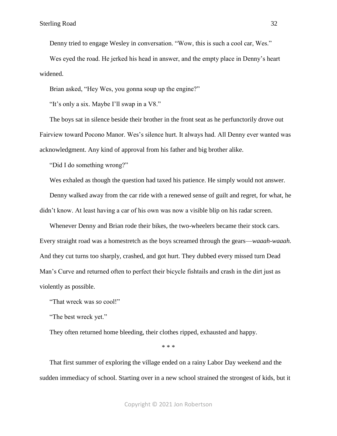Denny tried to engage Wesley in conversation. "Wow, this is such a cool car, Wes."

Wes eyed the road. He jerked his head in answer, and the empty place in Denny's heart widened.

Brian asked, "Hey Wes, you gonna soup up the engine?"

"It's only a six. Maybe I'll swap in a V8."

The boys sat in silence beside their brother in the front seat as he perfunctorily drove out Fairview toward Pocono Manor. Wes's silence hurt. It always had. All Denny ever wanted was acknowledgment. Any kind of approval from his father and big brother alike.

"Did I do something wrong?"

Wes exhaled as though the question had taxed his patience. He simply would not answer.

Denny walked away from the car ride with a renewed sense of guilt and regret, for what, he didn't know. At least having a car of his own was now a visible blip on his radar screen.

Whenever Denny and Brian rode their bikes, the two-wheelers became their stock cars. Every straight road was a homestretch as the boys screamed through the gears—*waaah-waaah.* And they cut turns too sharply, crashed, and got hurt. They dubbed every missed turn Dead Man's Curve and returned often to perfect their bicycle fishtails and crash in the dirt just as violently as possible.

"That wreck was *so* cool!"

"The best wreck yet."

They often returned home bleeding, their clothes ripped, exhausted and happy.

\* \* \*

That first summer of exploring the village ended on a rainy Labor Day weekend and the sudden immediacy of school. Starting over in a new school strained the strongest of kids, but it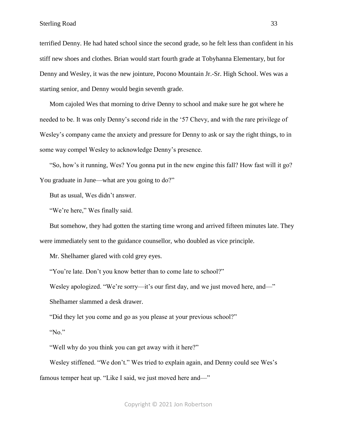terrified Denny. He had hated school since the second grade, so he felt less than confident in his stiff new shoes and clothes. Brian would start fourth grade at Tobyhanna Elementary, but for Denny and Wesley, it was the new jointure, Pocono Mountain Jr.-Sr. High School. Wes was a starting senior, and Denny would begin seventh grade.

Mom cajoled Wes that morning to drive Denny to school and make sure he got where he needed to be. It was only Denny's second ride in the '57 Chevy, and with the rare privilege of Wesley's company came the anxiety and pressure for Denny to ask or say the right things, to in some way compel Wesley to acknowledge Denny's presence.

"So, how's it running, Wes? You gonna put in the new engine this fall? How fast will it go? You graduate in June—what are you going to do?"

But as usual, Wes didn't answer.

"We're here," Wes finally said.

But somehow, they had gotten the starting time wrong and arrived fifteen minutes late. They were immediately sent to the guidance counsellor, who doubled as vice principle.

Mr. Shelhamer glared with cold grey eyes.

"You're late. Don't you know better than to come late to school?"

Wesley apologized. "We're sorry—it's our first day, and we just moved here, and—"

Shelhamer slammed a desk drawer.

"Did they let you come and go as you please at your previous school?"

"No."

"Well why do you think you can get away with it here?"

Wesley stiffened. "We don't." Wes tried to explain again, and Denny could see Wes's famous temper heat up. "Like I said, we just moved here and—"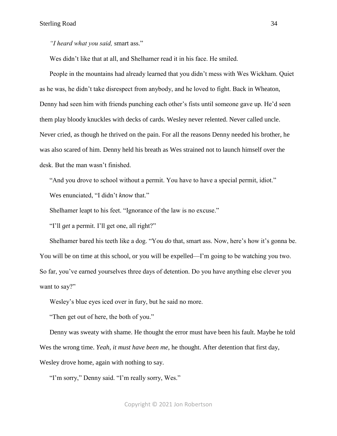*"I heard what you said,* smart ass."

Wes didn't like that at all, and Shelhamer read it in his face. He smiled.

People in the mountains had already learned that you didn't mess with Wes Wickham. Quiet as he was, he didn't take disrespect from anybody, and he loved to fight. Back in Wheaton, Denny had seen him with friends punching each other's fists until someone gave up. He'd seen them play bloody knuckles with decks of cards. Wesley never relented. Never called uncle. Never cried, as though he thrived on the pain. For all the reasons Denny needed his brother, he was also scared of him. Denny held his breath as Wes strained not to launch himself over the desk. But the man wasn't finished.

"And you drove to school without a permit. You have to have a special permit, idiot." Wes enunciated, "I didn't *know* that."

Shelhamer leapt to his feet. "Ignorance of the law is no excuse."

"I'll *get* a permit. I'll get one, all right?"

Shelhamer bared his teeth like a dog. "You *do* that, smart ass. Now, here's how it's gonna be. You will be on time at this school, or you will be expelled—I'm going to be watching you two. So far, you've earned yourselves three days of detention. Do you have anything else clever you want to say?"

Wesley's blue eyes iced over in fury, but he said no more.

"Then get out of here, the both of you."

Denny was sweaty with shame. He thought the error must have been his fault. Maybe he told Wes the wrong time. *Yeah, it must have been me,* he thought. After detention that first day, Wesley drove home, again with nothing to say.

"I'm sorry," Denny said. "I'm really sorry, Wes."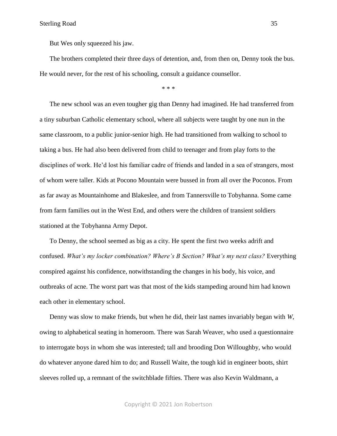Sterling Road 35

But Wes only squeezed his jaw.

The brothers completed their three days of detention, and, from then on, Denny took the bus. He would never, for the rest of his schooling, consult a guidance counsellor.

\* \* \*

The new school was an even tougher gig than Denny had imagined. He had transferred from a tiny suburban Catholic elementary school, where all subjects were taught by one nun in the same classroom, to a public junior-senior high. He had transitioned from walking to school to taking a bus. He had also been delivered from child to teenager and from play forts to the disciplines of work. He'd lost his familiar cadre of friends and landed in a sea of strangers, most of whom were taller. Kids at Pocono Mountain were bussed in from all over the Poconos. From as far away as Mountainhome and Blakeslee, and from Tannersville to Tobyhanna. Some came from farm families out in the West End, and others were the children of transient soldiers stationed at the Tobyhanna Army Depot.

To Denny, the school seemed as big as a city. He spent the first two weeks adrift and confused. What's my locker combination? Where's B Section? What's my next class? Everything conspired against his confidence, notwithstanding the changes in his body, his voice, and outbreaks of acne. The worst part was that most of the kids stampeding around him had known each other in elementary school.

Denny was slow to make friends, but when he did, their last names invariably began with *W*, owing to alphabetical seating in homeroom. There was Sarah Weaver, who used a questionnaire to interrogate boys in whom she was interested; tall and brooding Don Willoughby, who would do whatever anyone dared him to do; and Russell Waite, the tough kid in engineer boots, shirt sleeves rolled up, a remnant of the switchblade fifties. There was also Kevin Waldmann, a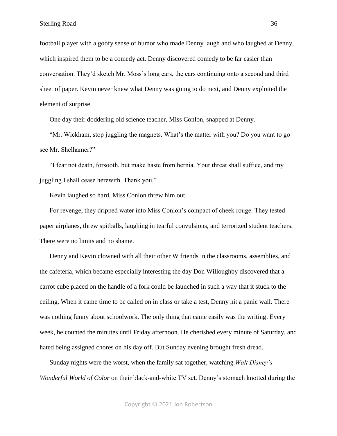football player with a goofy sense of humor who made Denny laugh and who laughed at Denny, which inspired them to be a comedy act. Denny discovered comedy to be far easier than conversation. They'd sketch Mr. Moss's long ears, the ears continuing onto a second and third sheet of paper. Kevin never knew what Denny was going to do next, and Denny exploited the element of surprise.

One day their doddering old science teacher, Miss Conlon, snapped at Denny.

"Mr. Wickham, stop juggling the magnets. What's the matter with you? Do you want to go see Mr. Shelhamer?"

"I fear not death, forsooth, but make haste from hernia. Your threat shall suffice, and my juggling I shall cease herewith. Thank you."

Kevin laughed so hard, Miss Conlon threw him out.

For revenge, they dripped water into Miss Conlon's compact of cheek rouge. They tested paper airplanes, threw spitballs, laughing in tearful convulsions, and terrorized student teachers. There were no limits and no shame.

Denny and Kevin clowned with all their other W friends in the classrooms, assemblies, and the cafeteria, which became especially interesting the day Don Willoughby discovered that a carrot cube placed on the handle of a fork could be launched in such a way that it stuck to the ceiling. When it came time to be called on in class or take a test, Denny hit a panic wall. There was nothing funny about schoolwork. The only thing that came easily was the writing. Every week, he counted the minutes until Friday afternoon. He cherished every minute of Saturday, and hated being assigned chores on his day off. But Sunday evening brought fresh dread.

Sunday nights were the worst, when the family sat together, watching *Walt Disney's Wonderful World of Color* on their black-and-white TV set. Denny's stomach knotted during the

Copyright © 2021 Jon Robertson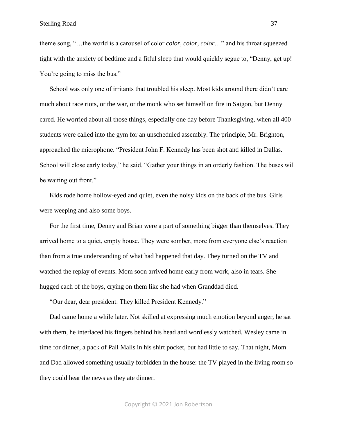theme song, "…the world is a carousel of color *color, color, color*…" and his throat squeezed tight with the anxiety of bedtime and a fitful sleep that would quickly segue to, "Denny, get up! You're going to miss the bus."

School was only one of irritants that troubled his sleep. Most kids around there didn't care much about race riots, or the war, or the monk who set himself on fire in Saigon, but Denny cared. He worried about all those things, especially one day before Thanksgiving, when all 400 students were called into the gym for an unscheduled assembly. The principle, Mr. Brighton, approached the microphone. "President John F. Kennedy has been shot and killed in Dallas. School will close early today," he said. "Gather your things in an orderly fashion. The buses will be waiting out front."

Kids rode home hollow-eyed and quiet, even the noisy kids on the back of the bus. Girls were weeping and also some boys.

For the first time, Denny and Brian were a part of something bigger than themselves. They arrived home to a quiet, empty house. They were somber, more from everyone else's reaction than from a true understanding of what had happened that day. They turned on the TV and watched the replay of events. Mom soon arrived home early from work, also in tears. She hugged each of the boys, crying on them like she had when Granddad died.

"Our dear, dear president. They killed President Kennedy."

Dad came home a while later. Not skilled at expressing much emotion beyond anger, he sat with them, he interlaced his fingers behind his head and wordlessly watched. Wesley came in time for dinner, a pack of Pall Malls in his shirt pocket, but had little to say. That night, Mom and Dad allowed something usually forbidden in the house: the TV played in the living room so they could hear the news as they ate dinner.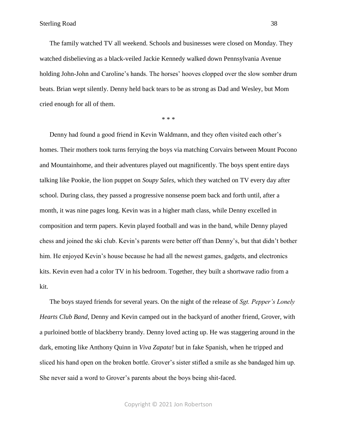The family watched TV all weekend. Schools and businesses were closed on Monday. They watched disbelieving as a black-veiled Jackie Kennedy walked down Pennsylvania Avenue holding John-John and Caroline's hands. The horses' hooves clopped over the slow somber drum beats. Brian wept silently. Denny held back tears to be as strong as Dad and Wesley, but Mom cried enough for all of them.

\* \* \*

Denny had found a good friend in Kevin Waldmann, and they often visited each other's homes. Their mothers took turns ferrying the boys via matching Corvairs between Mount Pocono and Mountainhome, and their adventures played out magnificently. The boys spent entire days talking like Pookie, the lion puppet on *Soupy Sales,* which they watched on TV every day after school. During class, they passed a progressive nonsense poem back and forth until, after a month, it was nine pages long. Kevin was in a higher math class, while Denny excelled in composition and term papers. Kevin played football and was in the band, while Denny played chess and joined the ski club. Kevin's parents were better off than Denny's, but that didn't bother him. He enjoyed Kevin's house because he had all the newest games, gadgets, and electronics kits. Kevin even had a color TV in his bedroom. Together, they built a shortwave radio from a kit.

The boys stayed friends for several years. On the night of the release of *Sgt. Pepper's Lonely Hearts Club Band,* Denny and Kevin camped out in the backyard of another friend, Grover, with a purloined bottle of blackberry brandy. Denny loved acting up. He was staggering around in the dark, emoting like Anthony Quinn in *Viva Zapata!* but in fake Spanish, when he tripped and sliced his hand open on the broken bottle. Grover's sister stifled a smile as she bandaged him up. She never said a word to Grover's parents about the boys being shit-faced.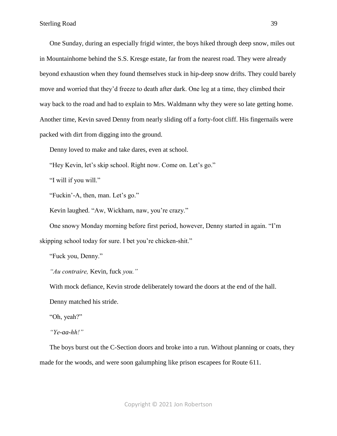One Sunday, during an especially frigid winter, the boys hiked through deep snow, miles out in Mountainhome behind the S.S. Kresge estate, far from the nearest road. They were already beyond exhaustion when they found themselves stuck in hip-deep snow drifts. They could barely move and worried that they'd freeze to death after dark. One leg at a time, they climbed their way back to the road and had to explain to Mrs. Waldmann why they were so late getting home. Another time, Kevin saved Denny from nearly sliding off a forty-foot cliff. His fingernails were packed with dirt from digging into the ground.

Denny loved to make and take dares, even at school.

"Hey Kevin, let's skip school. Right now. Come on. Let's go."

"I will if you will."

"Fuckin'-A, then, man. Let's go."

Kevin laughed. "Aw, Wickham, naw, you're crazy."

One snowy Monday morning before first period, however, Denny started in again. "I'm skipping school today for sure. I bet you're chicken-shit."

"Fuck you, Denny."

*"Au contraire,* Kevin, fuck *you."*

With mock defiance, Kevin strode deliberately toward the doors at the end of the hall.

Denny matched his stride.

"Oh, yeah?"

*"Ye-aa-hh!"*

The boys burst out the C-Section doors and broke into a run. Without planning or coats, they made for the woods, and were soon galumphing like prison escapees for Route 611.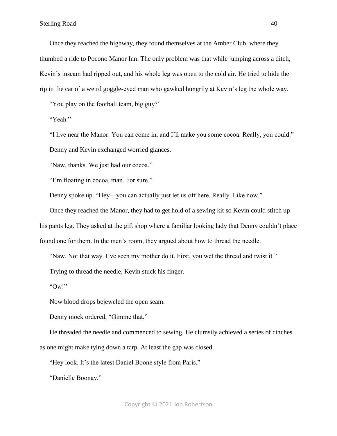Once they reached the highway, they found themselves at the Amber Club, where they thumbed a ride to Pocono Manor Inn. The only problem was that while jumping across a ditch, Kevin's inseam had ripped out, and his whole leg was open to the cold air. He tried to hide the rip in the car of a weird goggle-eyed man who gawked hungrily at Kevin's leg the whole way.

"You play on the football team, big guy?"

"Yeah."

"I live near the Manor. You can come in, and I'll make you some cocoa. Really, you could." Denny and Kevin exchanged worried glances.

"Naw, thanks. We just had our cocoa."

"I'm floating in cocoa, man. For sure."

Denny spoke up. "Hey—you can actually just let us off here. Really. Like now."

Once they reached the Manor, they had to get hold of a sewing kit so Kevin could stitch up

his pants leg. They asked at the gift shop where a familiar looking lady that Denny couldn't place

found one for them. In the men's room, they argued about how to thread the needle.

"Naw. Not that way. I've seen my mother do it. First, you wet the thread and twist it."

Trying to thread the needle, Kevin stuck his finger.

"Ow!"

Now blood drops bejeweled the open seam.

Denny mock ordered, "Gimme that."

He threaded the needle and commenced to sewing. He clumsily achieved a series of cinches as one might make tying down a tarp. At least the gap was closed.

"Hey look. It's the latest Daniel Boone style from Paris."

"Danielle Boonay."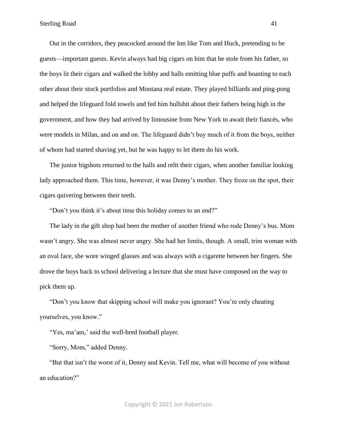Out in the corridors, they peacocked around the Inn like Tom and Huck, pretending to be guests—important guests. Kevin always had big cigars on him that he stole from his father, so the boys lit their cigars and walked the lobby and halls emitting blue puffs and boasting to each other about their stock portfolios and Montana real estate. They played billiards and ping-pong and helped the lifeguard fold towels and fed him bullshit about their fathers being high in the government, and how they had arrived by limousine from New York to await their fiancés, who were models in Milan, and on and on. The lifeguard didn't buy much of it from the boys, neither of whom had started shaving yet, but he was happy to let them do his work.

The junior bigshots returned to the halls and relit their cigars, when another familiar looking lady approached them. This time, however, it was Denny's mother. They froze on the spot, their cigars quivering between their teeth.

"Don't you think it's about time this holiday comes to an end?"

The lady in the gift shop had been the mother of another friend who rode Denny's bus. Mom wasn't angry. She was almost never angry. She had her limits, though. A small, trim woman with an oval face, she wore winged glasses and was always with a cigarette between her fingers. She drove the boys back to school delivering a lecture that she must have composed on the way to pick them up.

"Don't you know that skipping school will make you ignorant? You're only cheating yourselves, you know."

"Yes, ma'am,' said the well-bred football player.

"Sorry, Mom," added Denny.

"But that isn't the worst of it, Denny and Kevin. Tell me, what will become of you without an education?"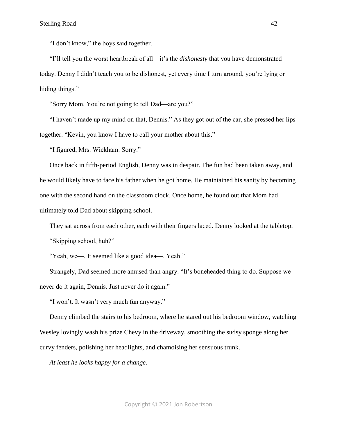"I don't know," the boys said together.

"I'll tell you the worst heartbreak of all—it's the *dishonesty* that you have demonstrated today. Denny I didn't teach you to be dishonest, yet every time I turn around, you're lying or hiding things."

"Sorry Mom. You're not going to tell Dad—are you?"

"I haven't made up my mind on that, Dennis." As they got out of the car, she pressed her lips together. "Kevin, you know I have to call your mother about this."

"I figured, Mrs. Wickham. Sorry."

Once back in fifth-period English, Denny was in despair. The fun had been taken away, and he would likely have to face his father when he got home. He maintained his sanity by becoming one with the second hand on the classroom clock. Once home, he found out that Mom had ultimately told Dad about skipping school.

They sat across from each other, each with their fingers laced. Denny looked at the tabletop. "Skipping school, huh?"

"Yeah, we—. It seemed like a good idea—. Yeah."

Strangely, Dad seemed more amused than angry. "It's boneheaded thing to do. Suppose we never do it again, Dennis. Just never do it again."

"I won't. It wasn't very much fun anyway."

Denny climbed the stairs to his bedroom, where he stared out his bedroom window, watching Wesley lovingly wash his prize Chevy in the driveway, smoothing the sudsy sponge along her curvy fenders, polishing her headlights, and chamoising her sensuous trunk.

*At least he looks happy for a change.*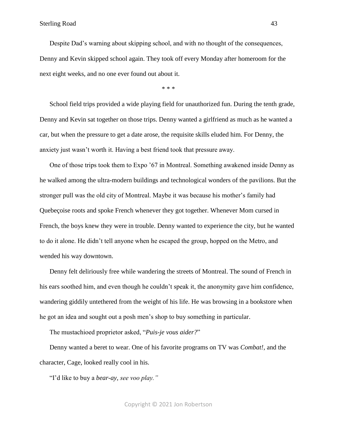Sterling Road 43

Despite Dad's warning about skipping school, and with no thought of the consequences, Denny and Kevin skipped school again. They took off every Monday after homeroom for the next eight weeks, and no one ever found out about it.

\* \* \*

School field trips provided a wide playing field for unauthorized fun. During the tenth grade, Denny and Kevin sat together on those trips. Denny wanted a girlfriend as much as he wanted a car, but when the pressure to get a date arose, the requisite skills eluded him. For Denny, the anxiety just wasn't worth it. Having a best friend took that pressure away.

One of those trips took them to Expo '67 in Montreal. Something awakened inside Denny as he walked among the ultra-modern buildings and technological wonders of the pavilions. But the stronger pull was the old city of Montreal. Maybe it was because his mother's family had Quebeçoise roots and spoke French whenever they got together. Whenever Mom cursed in French, the boys knew they were in trouble. Denny wanted to experience the city, but he wanted to do it alone. He didn't tell anyone when he escaped the group, hopped on the Metro, and wended his way downtown.

Denny felt deliriously free while wandering the streets of Montreal. The sound of French in his ears soothed him, and even though he couldn't speak it, the anonymity gave him confidence, wandering giddily untethered from the weight of his life. He was browsing in a bookstore when he got an idea and sought out a posh men's shop to buy something in particular.

The mustachioed proprietor asked, "*Puis-je vous aider?*"

Denny wanted a beret to wear. One of his favorite programs on TV was *Combat!*, and the character, Cage, looked really cool in his.

"I'd like to buy a *bear-ay, see voo play."*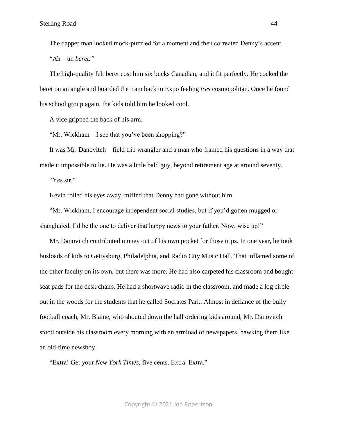The dapper man looked mock-puzzled for a moment and then corrected Denny's accent. "Ah—un *béret."*

The high-quality felt beret cost him six bucks Canadian, and it fit perfectly. He cocked the beret on an angle and boarded the train back to Expo feeling *tres* cosmopolitan. Once he found his school group again, the kids told him he looked cool.

A vice gripped the back of his arm.

"Mr. Wickham—I see that you've been shopping?"

It was Mr. Danovitch—field trip wrangler and a man who framed his questions in a way that made it impossible to lie. He was a little bald guy, beyond retirement age at around seventy.

"Yes sir."

Kevin rolled his eyes away, miffed that Denny had gone without him.

"Mr. Wickham, I encourage independent social studies, but if you'd gotten mugged or shanghaied, I'd be the one to deliver that happy news to your father. Now, wise up!"

Mr. Danovitch contributed money out of his own pocket for those trips. In one year, he took busloads of kids to Gettysburg, Philadelphia, and Radio City Music Hall. That inflamed some of the other faculty on its own, but there was more. He had also carpeted his classroom and bought seat pads for the desk chairs. He had a shortwave radio in the classroom, and made a log circle out in the woods for the students that he called Socrates Park. Almost in defiance of the bully football coach, Mr. Blaine, who shouted down the hall ordering kids around, Mr. Danovitch stood outside his classroom every morning with an armload of newspapers*,* hawking them like an old-time newsboy.

"Extra! Get your *New York Times,* five cents. Extra. Extra."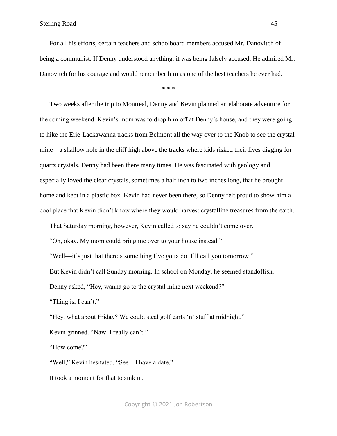For all his efforts, certain teachers and schoolboard members accused Mr. Danovitch of being a communist. If Denny understood anything, it was being falsely accused. He admired Mr. Danovitch for his courage and would remember him as one of the best teachers he ever had.

\* \* \*

Two weeks after the trip to Montreal, Denny and Kevin planned an elaborate adventure for the coming weekend. Kevin's mom was to drop him off at Denny's house, and they were going to hike the Erie-Lackawanna tracks from Belmont all the way over to the Knob to see the crystal mine—a shallow hole in the cliff high above the tracks where kids risked their lives digging for quartz crystals. Denny had been there many times. He was fascinated with geology and especially loved the clear crystals, sometimes a half inch to two inches long, that he brought home and kept in a plastic box. Kevin had never been there, so Denny felt proud to show him a cool place that Kevin didn't know where they would harvest crystalline treasures from the earth.

That Saturday morning, however, Kevin called to say he couldn't come over.

"Oh, okay. My mom could bring me over to your house instead."

"Well—it's just that there's something I've gotta do. I'll call you tomorrow."

But Kevin didn't call Sunday morning. In school on Monday, he seemed standoffish.

Denny asked, "Hey, wanna go to the crystal mine next weekend?"

"Thing is, I can't."

"Hey, what about Friday? We could steal golf carts 'n' stuff at midnight."

Kevin grinned. "Naw. I really can't."

"How come?"

"Well," Kevin hesitated. "See—I have a date."

It took a moment for that to sink in.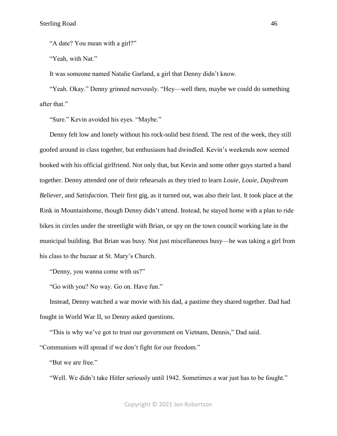"A date? You mean with a girl?"

"Yeah, with Nat."

It was someone named Natalie Garland, a girl that Denny didn't know.

"Yeah. Okay." Denny grinned nervously. "Hey—well then, maybe we could do something after that."

"Sure." Kevin avoided his eyes. "Maybe."

Denny felt low and lonely without his rock-solid best friend. The rest of the week, they still goofed around in class together, but enthusiasm had dwindled. Kevin's weekends now seemed booked with his official girlfriend. Not only that, but Kevin and some other guys started a band together. Denny attended one of their rehearsals as they tried to learn *Louie, Louie, Daydream Believer,* and *Satisfaction.* Their first gig, as it turned out, was also their last. It took place at the Rink in Mountainhome, though Denny didn't attend. Instead, he stayed home with a plan to ride bikes in circles under the streetlight with Brian, or spy on the town council working late in the municipal building. But Brian was busy. Not just miscellaneous busy—he was taking a girl from his class to the bazaar at St. Mary's Church.

"Denny, you wanna come with us?"

"Go with you? No way. Go on. Have fun."

Instead, Denny watched a war movie with his dad, a pastime they shared together. Dad had fought in World War II, so Denny asked questions.

"This is why we've got to trust our government on Vietnam, Dennis," Dad said.

"Communism will spread if we don't fight for our freedom."

"But we are free."

"Well. We didn't take Hitler seriously until 1942. Sometimes a war just has to be fought."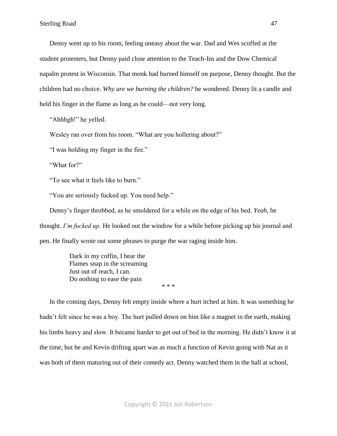Denny went up to his room, feeling uneasy about the war. Dad and Wes scoffed at the student protesters, but Denny paid close attention to the Teach-Ins and the Dow Chemical napalm protest in Wisconsin. That monk had burned himself on purpose, Denny thought. But the children had no choice. *Why are we burning the children?* he wondered. Denny lit a candle and held his finger in the flame as long as he could—not very long.

"Ahhhgh!" he yelled.

Wesley ran over from his room. "What are you hollering about?"

"I was holding my finger in the fire."

"What for?"

"To see what it feels like to burn."

"You are seriously fucked up. You need help."

Denny's finger throbbed, as he smoldered for a while on the edge of his bed. *Yeah,* he thought. *I'm fucked up.* He looked out the window for a while before picking up his journal and pen. He finally wrote out some phrases to purge the war raging inside him.

> Dark in my coffin, I hear the Flames snap in the screaming Just out of reach, I can. Do nothing to ease the pain

In the coming days, Denny felt empty inside where a hurt itched at him. It was something he hadn't felt since he was a boy. The hurt pulled down on him like a magnet in the earth, making his limbs heavy and slow. It became harder to get out of bed in the morning. He didn't know it at the time, but he and Kevin drifting apart was as much a function of Kevin going with Nat as it was both of them maturing out of their comedy act. Denny watched them in the hall at school,

\* \* \*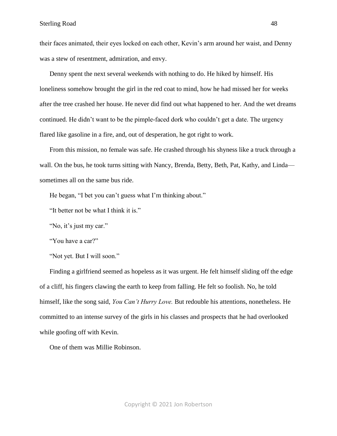their faces animated, their eyes locked on each other, Kevin's arm around her waist, and Denny was a stew of resentment, admiration, and envy.

Denny spent the next several weekends with nothing to do. He hiked by himself. His loneliness somehow brought the girl in the red coat to mind, how he had missed her for weeks after the tree crashed her house. He never did find out what happened to her. And the wet dreams continued. He didn't want to be the pimple-faced dork who couldn't get a date. The urgency flared like gasoline in a fire, and, out of desperation, he got right to work.

From this mission, no female was safe. He crashed through his shyness like a truck through a wall. On the bus, he took turns sitting with Nancy, Brenda, Betty, Beth, Pat, Kathy, and Linda sometimes all on the same bus ride.

He began, "I bet you can't guess what I'm thinking about."

"It better not be what I think it is."

"No, it's just my car."

"You have a car?"

"Not yet. But I will soon."

Finding a girlfriend seemed as hopeless as it was urgent. He felt himself sliding off the edge of a cliff, his fingers clawing the earth to keep from falling. He felt so foolish. No, he told himself, like the song said, *You Can't Hurry Love.* But redouble his attentions, nonetheless. He committed to an intense survey of the girls in his classes and prospects that he had overlooked while goofing off with Kevin.

One of them was Millie Robinson.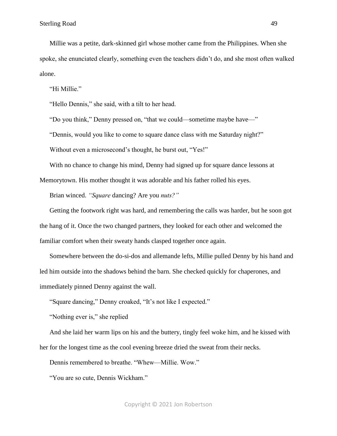Millie was a petite, dark-skinned girl whose mother came from the Philippines. When she spoke, she enunciated clearly, something even the teachers didn't do, and she most often walked alone.

"Hi Millie."

"Hello Dennis," she said, with a tilt to her head.

"Do you think," Denny pressed on, "that we could—sometime maybe have—"

"Dennis, would you like to come to square dance class with me Saturday night?"

Without even a microsecond's thought, he burst out, "Yes!"

With no chance to change his mind, Denny had signed up for square dance lessons at

Memorytown. His mother thought it was adorable and his father rolled his eyes.

Brian winced. *"Square* dancing? Are you *nuts?"*

Getting the footwork right was hard, and remembering the calls was harder, but he soon got the hang of it. Once the two changed partners, they looked for each other and welcomed the familiar comfort when their sweaty hands clasped together once again.

Somewhere between the do-si-dos and allemande lefts, Millie pulled Denny by his hand and led him outside into the shadows behind the barn. She checked quickly for chaperones, and immediately pinned Denny against the wall.

"Square dancing," Denny croaked, "It's not like I expected."

"Nothing ever is," she replied

And she laid her warm lips on his and the buttery, tingly feel woke him, and he kissed with her for the longest time as the cool evening breeze dried the sweat from their necks.

Dennis remembered to breathe. "Whew—Millie. Wow."

"You are so cute, Dennis Wickham."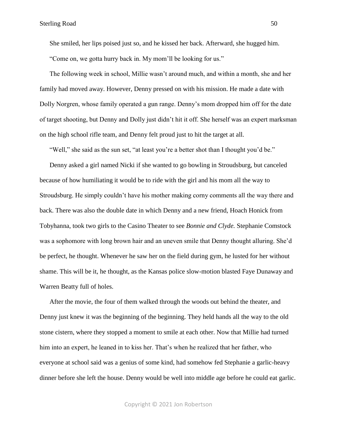She smiled, her lips poised just so, and he kissed her back. Afterward, she hugged him. "Come on, we gotta hurry back in. My mom'll be looking for us."

The following week in school, Millie wasn't around much, and within a month, she and her family had moved away. However, Denny pressed on with his mission. He made a date with Dolly Norgren, whose family operated a gun range. Denny's mom dropped him off for the date of target shooting, but Denny and Dolly just didn't hit it off. She herself was an expert marksman on the high school rifle team, and Denny felt proud just to hit the target at all.

"Well," she said as the sun set, "at least you're a better shot than I thought you'd be."

Denny asked a girl named Nicki if she wanted to go bowling in Stroudsburg, but canceled because of how humiliating it would be to ride with the girl and his mom all the way to Stroudsburg. He simply couldn't have his mother making corny comments all the way there and back. There was also the double date in which Denny and a new friend, Hoach Honick from Tobyhanna, took two girls to the Casino Theater to see *Bonnie and Clyde.* Stephanie Comstock was a sophomore with long brown hair and an uneven smile that Denny thought alluring. She'd be perfect, he thought. Whenever he saw her on the field during gym, he lusted for her without shame. This will be it, he thought, as the Kansas police slow-motion blasted Faye Dunaway and Warren Beatty full of holes.

After the movie, the four of them walked through the woods out behind the theater, and Denny just knew it was the beginning of the beginning. They held hands all the way to the old stone cistern, where they stopped a moment to smile at each other. Now that Millie had turned him into an expert, he leaned in to kiss her. That's when he realized that her father, who everyone at school said was a genius of some kind, had somehow fed Stephanie a garlic-heavy dinner before she left the house. Denny would be well into middle age before he could eat garlic.

Copyright © 2021 Jon Robertson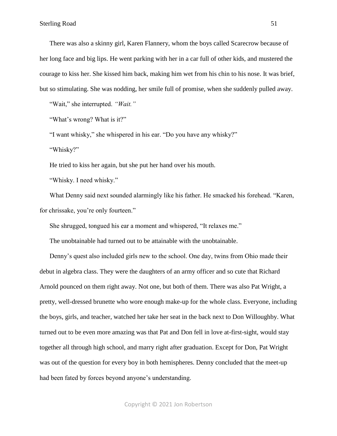There was also a skinny girl, Karen Flannery, whom the boys called Scarecrow because of her long face and big lips. He went parking with her in a car full of other kids, and mustered the courage to kiss her. She kissed him back, making him wet from his chin to his nose. It was brief, but so stimulating. She was nodding, her smile full of promise, when she suddenly pulled away.

"Wait," she interrupted. *"Wait."* 

"What's wrong? What is it?"

"I want whisky," she whispered in his ear. "Do you have any whisky?"

"Whisky?"

He tried to kiss her again, but she put her hand over his mouth.

"Whisky. I need whisky."

What Denny said next sounded alarmingly like his father. He smacked his forehead. "Karen, for chrissake, you're only fourteen."

She shrugged, tongued his ear a moment and whispered, "It relaxes me."

The unobtainable had turned out to be attainable with the unobtainable.

Denny's quest also included girls new to the school. One day, twins from Ohio made their debut in algebra class. They were the daughters of an army officer and so cute that Richard Arnold pounced on them right away. Not one, but both of them. There was also Pat Wright, a pretty, well-dressed brunette who wore enough make-up for the whole class. Everyone, including the boys, girls, and teacher, watched her take her seat in the back next to Don Willoughby. What turned out to be even more amazing was that Pat and Don fell in love at-first-sight, would stay together all through high school, and marry right after graduation. Except for Don, Pat Wright was out of the question for every boy in both hemispheres. Denny concluded that the meet-up had been fated by forces beyond anyone's understanding.